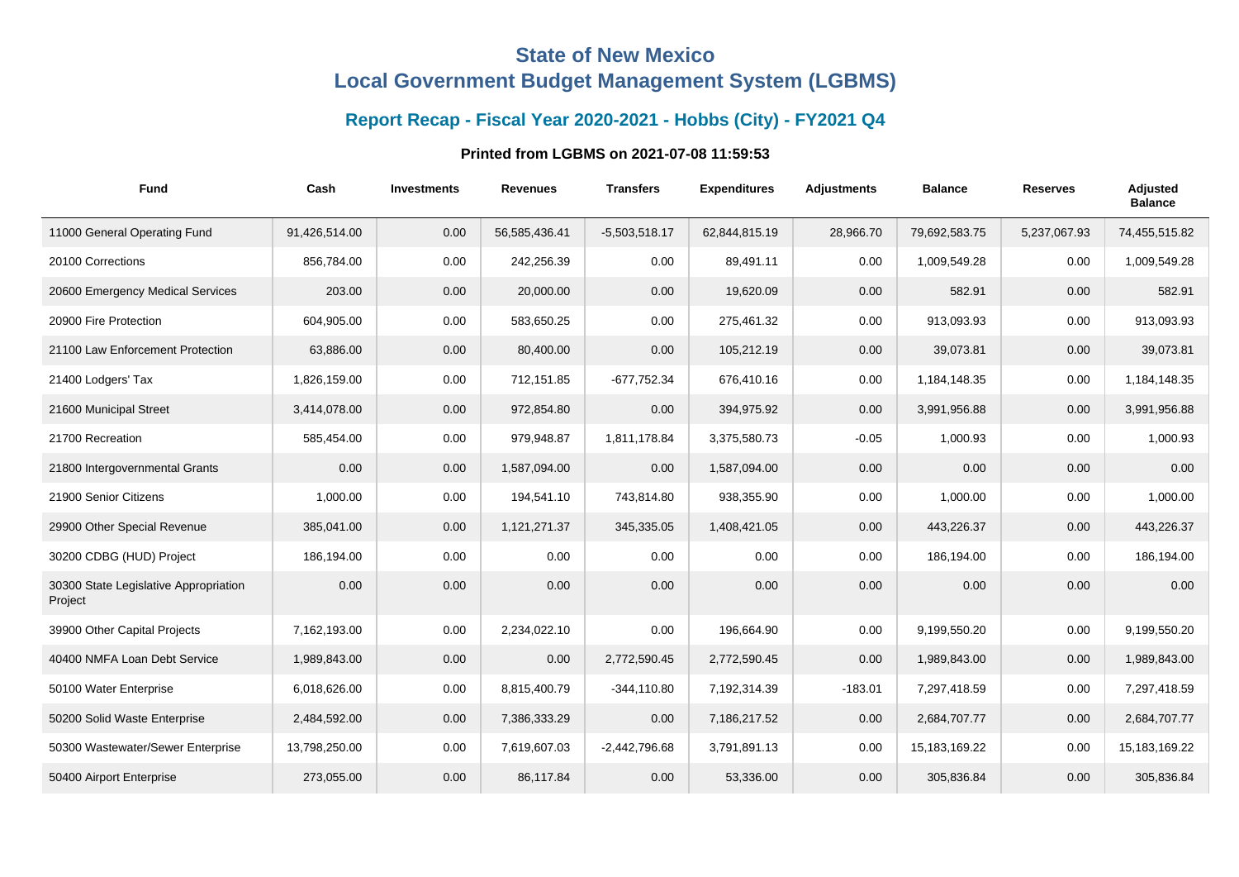## **State of New Mexico Local Government Budget Management System (LGBMS)**

## **Report Recap - Fiscal Year 2020-2021 - Hobbs (City) - FY2021 Q4**

## **Printed from LGBMS on 2021-07-08 11:59:53**

| <b>Fund</b>                                      | Cash          | <b>Investments</b> | <b>Revenues</b> | <b>Transfers</b> | <b>Expenditures</b> | <b>Adjustments</b> | <b>Balance</b>   | <b>Reserves</b> | <b>Adjusted</b><br><b>Balance</b> |
|--------------------------------------------------|---------------|--------------------|-----------------|------------------|---------------------|--------------------|------------------|-----------------|-----------------------------------|
| 11000 General Operating Fund                     | 91,426,514.00 | 0.00               | 56,585,436.41   | $-5,503,518.17$  | 62,844,815.19       | 28,966.70          | 79,692,583.75    | 5,237,067.93    | 74,455,515.82                     |
| 20100 Corrections                                | 856,784.00    | 0.00               | 242,256.39      | 0.00             | 89,491.11           | 0.00               | 1,009,549.28     | 0.00            | 1,009,549.28                      |
| 20600 Emergency Medical Services                 | 203.00        | 0.00               | 20,000.00       | 0.00             | 19,620.09           | 0.00               | 582.91           | 0.00            | 582.91                            |
| 20900 Fire Protection                            | 604,905.00    | 0.00               | 583,650.25      | 0.00             | 275,461.32          | 0.00               | 913,093.93       | 0.00            | 913,093.93                        |
| 21100 Law Enforcement Protection                 | 63,886.00     | 0.00               | 80,400.00       | 0.00             | 105,212.19          | 0.00               | 39,073.81        | 0.00            | 39,073.81                         |
| 21400 Lodgers' Tax                               | 1,826,159.00  | 0.00               | 712,151.85      | $-677,752.34$    | 676,410.16          | 0.00               | 1,184,148.35     | 0.00            | 1,184,148.35                      |
| 21600 Municipal Street                           | 3,414,078.00  | 0.00               | 972,854.80      | 0.00             | 394,975.92          | 0.00               | 3,991,956.88     | 0.00            | 3,991,956.88                      |
| 21700 Recreation                                 | 585,454.00    | 0.00               | 979,948.87      | 1,811,178.84     | 3,375,580.73        | $-0.05$            | 1,000.93         | 0.00            | 1,000.93                          |
| 21800 Intergovernmental Grants                   | 0.00          | 0.00               | 1,587,094.00    | 0.00             | 1,587,094.00        | 0.00               | 0.00             | 0.00            | 0.00                              |
| 21900 Senior Citizens                            | 1,000.00      | 0.00               | 194,541.10      | 743,814.80       | 938,355.90          | 0.00               | 1,000.00         | 0.00            | 1,000.00                          |
| 29900 Other Special Revenue                      | 385,041.00    | 0.00               | 1,121,271.37    | 345,335.05       | 1,408,421.05        | 0.00               | 443,226.37       | 0.00            | 443,226.37                        |
| 30200 CDBG (HUD) Project                         | 186,194.00    | 0.00               | 0.00            | 0.00             | 0.00                | 0.00               | 186,194.00       | 0.00            | 186,194.00                        |
| 30300 State Legislative Appropriation<br>Project | 0.00          | 0.00               | 0.00            | 0.00             | 0.00                | 0.00               | 0.00             | 0.00            | 0.00                              |
| 39900 Other Capital Projects                     | 7,162,193.00  | 0.00               | 2,234,022.10    | 0.00             | 196,664.90          | 0.00               | 9,199,550.20     | 0.00            | 9,199,550.20                      |
| 40400 NMFA Loan Debt Service                     | 1,989,843.00  | 0.00               | 0.00            | 2,772,590.45     | 2,772,590.45        | 0.00               | 1,989,843.00     | 0.00            | 1,989,843.00                      |
| 50100 Water Enterprise                           | 6,018,626.00  | 0.00               | 8,815,400.79    | $-344,110.80$    | 7,192,314.39        | $-183.01$          | 7,297,418.59     | 0.00            | 7,297,418.59                      |
| 50200 Solid Waste Enterprise                     | 2,484,592.00  | 0.00               | 7,386,333.29    | 0.00             | 7,186,217.52        | 0.00               | 2,684,707.77     | 0.00            | 2,684,707.77                      |
| 50300 Wastewater/Sewer Enterprise                | 13,798,250.00 | 0.00               | 7,619,607.03    | $-2,442,796.68$  | 3,791,891.13        | 0.00               | 15, 183, 169. 22 | 0.00            | 15,183,169.22                     |
| 50400 Airport Enterprise                         | 273,055.00    | 0.00               | 86,117.84       | 0.00             | 53,336.00           | 0.00               | 305,836.84       | 0.00            | 305,836.84                        |